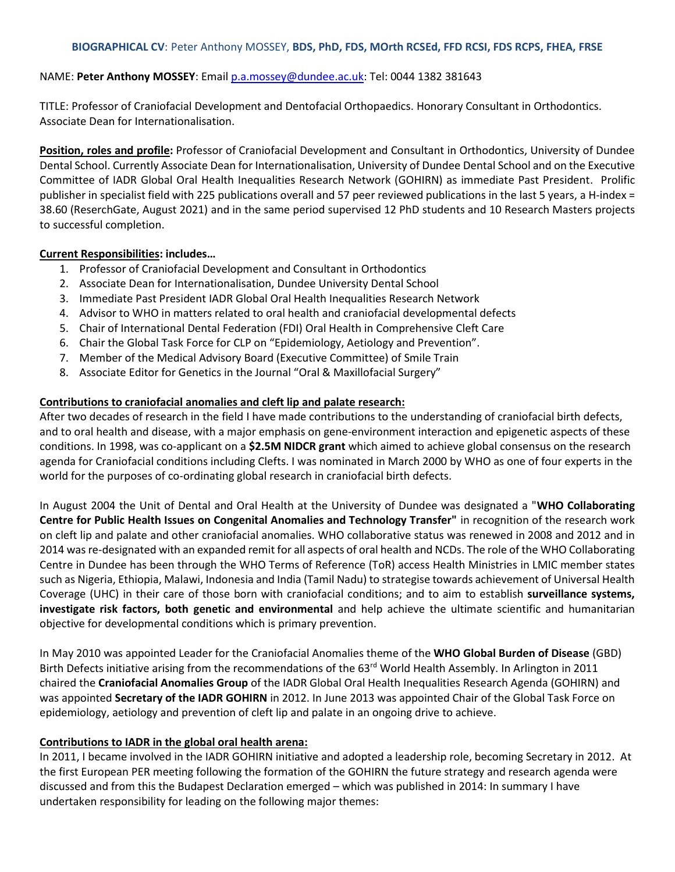#### **BIOGRAPHICAL CV**: Peter Anthony MOSSEY, **BDS, PhD, FDS, MOrth RCSEd, FFD RCSI, FDS RCPS, FHEA, FRSE**

#### NAME: **Peter Anthony MOSSEY**: Email [p.a.mossey@dundee.ac.uk:](mailto:p.a.mossey@dundee.ac.uk) Tel: 0044 1382 381643

TITLE: Professor of Craniofacial Development and Dentofacial Orthopaedics. Honorary Consultant in Orthodontics. Associate Dean for Internationalisation.

**Position, roles and profile:** Professor of Craniofacial Development and Consultant in Orthodontics, University of Dundee Dental School. Currently Associate Dean for Internationalisation, University of Dundee Dental School and on the Executive Committee of IADR Global Oral Health Inequalities Research Network (GOHIRN) as immediate Past President. Prolific publisher in specialist field with 225 publications overall and 57 peer reviewed publications in the last 5 years, a H-index = 38.60 (ReserchGate, August 2021) and in the same period supervised 12 PhD students and 10 Research Masters projects to successful completion.

#### **Current Responsibilities: includes…**

- 1. Professor of Craniofacial Development and Consultant in Orthodontics
- 2. Associate Dean for Internationalisation, Dundee University Dental School
- 3. Immediate Past President IADR Global Oral Health Inequalities Research Network
- 4. Advisor to WHO in matters related to oral health and craniofacial developmental defects
- 5. Chair of International Dental Federation (FDI) Oral Health in Comprehensive Cleft Care
- 6. Chair the Global Task Force for CLP on "Epidemiology, Aetiology and Prevention".
- 7. Member of the Medical Advisory Board (Executive Committee) of Smile Train
- 8. Associate Editor for Genetics in the Journal "Oral & Maxillofacial Surgery"

### **Contributions to craniofacial anomalies and cleft lip and palate research:**

After two decades of research in the field I have made contributions to the understanding of craniofacial birth defects, and to oral health and disease, with a major emphasis on gene-environment interaction and epigenetic aspects of these conditions. In 1998, was co-applicant on a **\$2.5M NIDCR grant** which aimed to achieve global consensus on the research agenda for Craniofacial conditions including Clefts. I was nominated in March 2000 by WHO as one of four experts in the world for the purposes of co-ordinating global research in craniofacial birth defects.

In August 2004 the Unit of Dental and Oral Health at the University of Dundee was designated a "**WHO Collaborating Centre for Public Health Issues on Congenital Anomalies and Technology Transfer"** in recognition of the research work on cleft lip and palate and other craniofacial anomalies. WHO collaborative status was renewed in 2008 and 2012 and in 2014 was re-designated with an expanded remit for all aspects of oral health and NCDs. The role of the WHO Collaborating Centre in Dundee has been through the WHO Terms of Reference (ToR) access Health Ministries in LMIC member states such as Nigeria, Ethiopia, Malawi, Indonesia and India (Tamil Nadu) to strategise towards achievement of Universal Health Coverage (UHC) in their care of those born with craniofacial conditions; and to aim to establish **surveillance systems, investigate risk factors, both genetic and environmental** and help achieve the ultimate scientific and humanitarian objective for developmental conditions which is primary prevention.

In May 2010 was appointed Leader for the Craniofacial Anomalies theme of the **WHO Global Burden of Disease** (GBD) Birth Defects initiative arising from the recommendations of the 63<sup>rd</sup> World Health Assembly. In Arlington in 2011 chaired the **Craniofacial Anomalies Group** of the IADR Global Oral Health Inequalities Research Agenda (GOHIRN) and was appointed **Secretary of the IADR GOHIRN** in 2012. In June 2013 was appointed Chair of the Global Task Force on epidemiology, aetiology and prevention of cleft lip and palate in an ongoing drive to achieve.

### **Contributions to IADR in the global oral health arena:**

In 2011, I became involved in the IADR GOHIRN initiative and adopted a leadership role, becoming Secretary in 2012. At the first European PER meeting following the formation of the GOHIRN the future strategy and research agenda were discussed and from this the Budapest Declaration emerged – which was published in 2014: In summary I have undertaken responsibility for leading on the following major themes: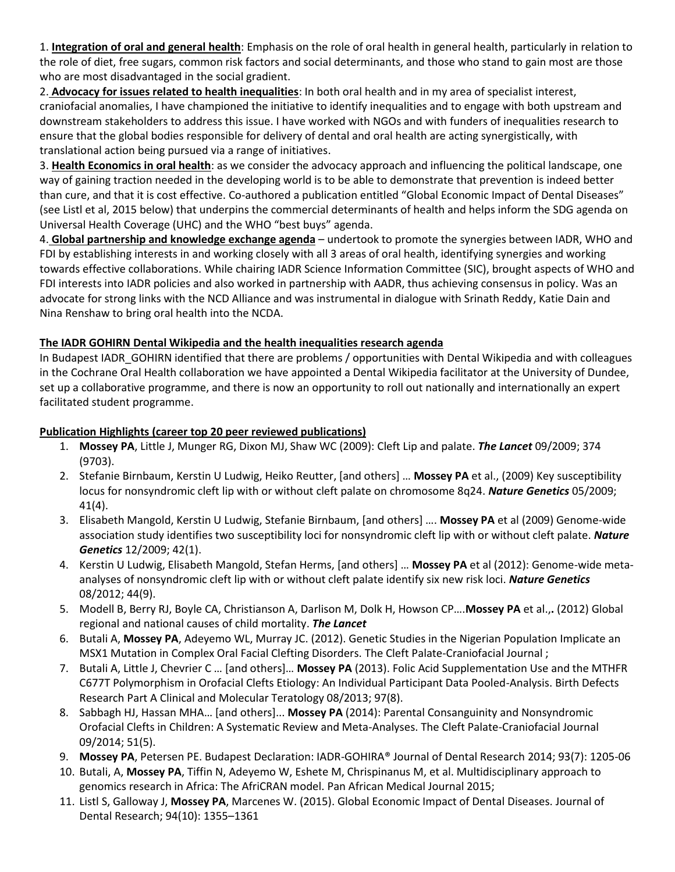1. **Integration of oral and general health**: Emphasis on the role of oral health in general health, particularly in relation to the role of diet, free sugars, common risk factors and social determinants, and those who stand to gain most are those who are most disadvantaged in the social gradient.

2. **Advocacy for issues related to health inequalities**: In both oral health and in my area of specialist interest, craniofacial anomalies, I have championed the initiative to identify inequalities and to engage with both upstream and downstream stakeholders to address this issue. I have worked with NGOs and with funders of inequalities research to ensure that the global bodies responsible for delivery of dental and oral health are acting synergistically, with translational action being pursued via a range of initiatives.

3. **Health Economics in oral health**: as we consider the advocacy approach and influencing the political landscape, one way of gaining traction needed in the developing world is to be able to demonstrate that prevention is indeed better than cure, and that it is cost effective. Co-authored a publication entitled "Global Economic Impact of Dental Diseases" (see Listl et al, 2015 below) that underpins the commercial determinants of health and helps inform the SDG agenda on Universal Health Coverage (UHC) and the WHO "best buys" agenda.

4. **Global partnership and knowledge exchange agenda** – undertook to promote the synergies between IADR, WHO and FDI by establishing interests in and working closely with all 3 areas of oral health, identifying synergies and working towards effective collaborations. While chairing IADR Science Information Committee (SIC), brought aspects of WHO and FDI interests into IADR policies and also worked in partnership with AADR, thus achieving consensus in policy. Was an advocate for strong links with the NCD Alliance and was instrumental in dialogue with Srinath Reddy, Katie Dain and Nina Renshaw to bring oral health into the NCDA.

# **The IADR GOHIRN Dental Wikipedia and the health inequalities research agenda**

In Budapest IADR\_GOHIRN identified that there are problems / opportunities with Dental Wikipedia and with colleagues in the Cochrane Oral Health collaboration we have appointed a Dental Wikipedia facilitator at the University of Dundee, set up a collaborative programme, and there is now an opportunity to roll out nationally and internationally an expert facilitated student programme.

# **Publication Highlights (career top 20 peer reviewed publications)**

- 1. **Mossey PA**, Little J, Munger RG, Dixon MJ, Shaw WC (2009): Cleft Lip and palate. *The Lancet* 09/2009; 374 (9703).
- 2. Stefanie Birnbaum, Kerstin U Ludwig, Heiko Reutter, [and others] … **Mossey PA** et al., (2009) Key susceptibility locus for nonsyndromic cleft lip with or without cleft palate on chromosome 8q24. *Nature Genetics* 05/2009; 41(4).
- 3. Elisabeth Mangold, Kerstin U Ludwig, Stefanie Birnbaum, [and others] …. **Mossey PA** et al (2009) Genome-wide association study identifies two susceptibility loci for nonsyndromic cleft lip with or without cleft palate. *Nature Genetics* 12/2009; 42(1).
- 4. Kerstin U Ludwig, Elisabeth Mangold, Stefan Herms, [and others] … **Mossey PA** et al (2012): Genome-wide metaanalyses of nonsyndromic cleft lip with or without cleft palate identify six new risk loci. *Nature Genetics* 08/2012; 44(9).
- 5. Modell B, Berry RJ, Boyle CA, Christianson A, Darlison M, Dolk H, Howson CP….**Mossey PA** et al.,**.** (2012) Global regional and national causes of child mortality. *The Lancet*
- 6. Butali A, **Mossey PA**, Adeyemo WL, Murray JC. (2012). Genetic Studies in the Nigerian Population Implicate an MSX1 Mutation in Complex Oral Facial Clefting Disorders. The Cleft Palate-Craniofacial Journal ;
- 7. Butali A, Little J, Chevrier C … [and others]… **Mossey PA** (2013). Folic Acid Supplementation Use and the MTHFR C677T Polymorphism in Orofacial Clefts Etiology: An Individual Participant Data Pooled-Analysis. Birth Defects Research Part A Clinical and Molecular Teratology 08/2013; 97(8).
- 8. Sabbagh HJ, Hassan MHA… [and others]... **Mossey PA** (2014): Parental Consanguinity and Nonsyndromic Orofacial Clefts in Children: A Systematic Review and Meta-Analyses. The Cleft Palate-Craniofacial Journal 09/2014; 51(5).
- 9. **Mossey PA**, Petersen PE. Budapest Declaration: IADR-GOHIRA® Journal of Dental Research 2014; 93(7): 1205-06
- 10. Butali, A, **Mossey PA**, Tiffin N, Adeyemo W, Eshete M, Chrispinanus M, et al. Multidisciplinary approach to genomics research in Africa: The AfriCRAN model. Pan African Medical Journal 2015;
- 11. Listl S, Galloway J, **Mossey PA**, Marcenes W. (2015). Global Economic Impact of Dental Diseases. Journal of Dental Research; 94(10): 1355–1361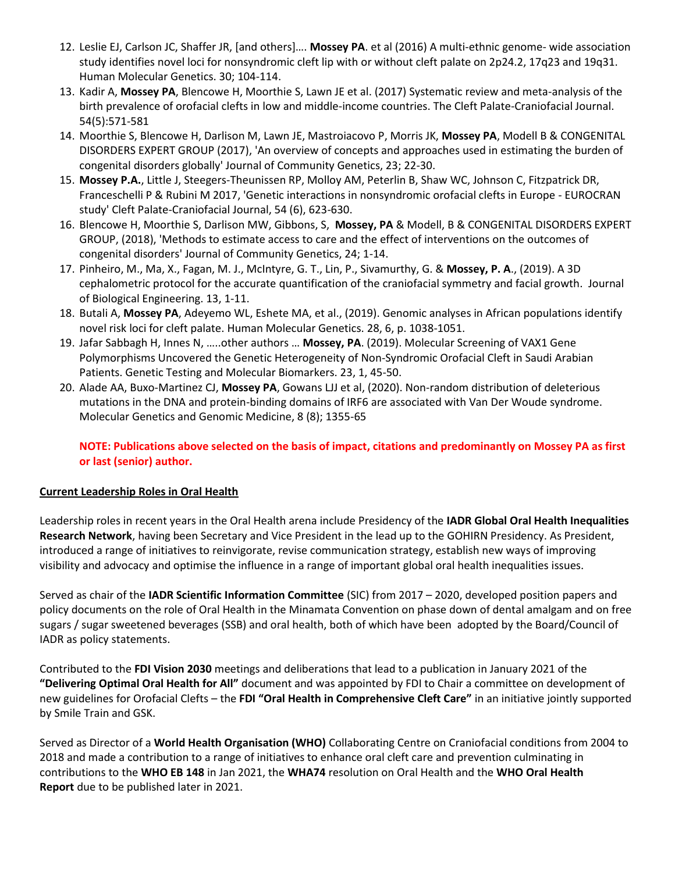- 12. Leslie EJ, Carlson JC, Shaffer JR, [and others]…. **Mossey PA**. et al (2016) [A multi-ethnic genome-](http://www.ncbi.nlm.nih.gov/pubmed/27033726) wide association [study identifies novel loci for nonsyndromic cleft lip with or without cleft palate on 2p24.2, 17q23 and 19q31.](http://www.ncbi.nlm.nih.gov/pubmed/27033726) Human Molecular Genetics. 30; 104-114.
- 13. Kadir A, **Mossey PA**, Blencowe H, Moorthie S, Lawn JE et al. (2017) Systematic review and meta-analysis of the birth prevalence of orofacial clefts in low and middle-income countries. The Cleft Palate-Craniofacial Journal. 54(5):571-581
- 14. Moorthie S, Blencowe H, Darlison M, Lawn JE, Mastroiacovo P, Morris JK, **Mossey PA**, Modell B & CONGENITAL DISORDERS EXPERT GROUP (2017), 'An overview of concepts and approaches used in estimating the burden of congenital disorders globally' Journal of Community Genetics, 23; 22-30.
- 15. **Mossey P.A.**, Little J, Steegers-Theunissen RP, Molloy AM, Peterlin B, Shaw WC, Johnson C, Fitzpatrick DR, Franceschelli P & Rubini M 2017, 'Genetic interactions in nonsyndromic orofacial clefts in Europe - EUROCRAN study' Cleft Palate-Craniofacial Journal, 54 (6), 623-630.
- 16. Blencowe H, Moorthie S, Darlison MW, Gibbons, S, **Mossey, PA** & Modell, B & CONGENITAL DISORDERS EXPERT GROUP, (2018), 'Methods to estimate access to care and the effect of interventions on the outcomes of congenital disorders' Journal of Community Genetics, 24; 1-14.
- 17. Pinheiro, M., Ma, X., Fagan, M. J., McIntyre, G. T., Lin, P., Sivamurthy, G. & **Mossey, P. A**., (2019)[. A 3D](javascript:void(0);)  [cephalometric protocol for the accurate quantification of the craniofacial symmetry and facial growth.](javascript:void(0);) Journal of Biological Engineering. 13, 1-11.
- 18. Butali A, **Mossey PA**, Adeyemo WL, Eshete MA, et al., (2019). Genomic analyses in African populations identify novel risk loci for cleft palate. Human Molecular Genetics. 28, 6, p. 1038-1051.
- 19. Jafar Sabbagh H, Innes N, …..other authors … **Mossey, PA**. (2019). [Molecular Screening of VAX1 Gene](javascript:void(0);)  [Polymorphisms Uncovered the Genetic Heterogeneity of Non-Syndromic Orofacial Cleft in Saudi Arabian](javascript:void(0);)  [Patients.](javascript:void(0);) Genetic Testing and Molecular Biomarkers. 23, 1, 45-50.
- 20. [Alade](https://onlinelibrary.wiley.com/action/doSearch?ContribAuthorStored=Alade%2C+Azeez+A) AA, [Buxo-Martinez](https://onlinelibrary.wiley.com/action/doSearch?ContribAuthorStored=Buxo-Martinez%2C+Carmen+J) CJ, **[Mossey](https://onlinelibrary.wiley.com/action/doSearch?ContribAuthorStored=Mossey%2C+Peter+A) PA**, [Gowans](https://onlinelibrary.wiley.com/action/doSearch?ContribAuthorStored=Gowans%2C+Lord+JJ) LJJ et al, (2020). Non-random distribution of deleterious mutations in the DNA and protein-binding domains of IRF6 are associated with Van Der Woude syndrome. Molecular Genetics and Genomic Medicine, 8 (8); 1355-65

**NOTE: Publications above selected on the basis of impact, citations and predominantly on Mossey PA as first or last (senior) author.**

## **Current Leadership Roles in Oral Health**

Leadership roles in recent years in the Oral Health arena include Presidency of the **IADR Global Oral Health Inequalities Research Network**, having been Secretary and Vice President in the lead up to the GOHIRN Presidency. As President, introduced a range of initiatives to reinvigorate, revise communication strategy, establish new ways of improving visibility and advocacy and optimise the influence in a range of important global oral health inequalities issues.

Served as chair of the **IADR Scientific Information Committee** (SIC) from 2017 – 2020, developed position papers and policy documents on the role of Oral Health in the Minamata Convention on phase down of dental amalgam and on free sugars / sugar sweetened beverages (SSB) and oral health, both of which have been adopted by the Board/Council of IADR as policy statements.

Contributed to the **FDI Vision 2030** meetings and deliberations that lead to a publication in January 2021 of the **"Delivering Optimal Oral Health for All"** document and was appointed by FDI to Chair a committee on development of new guidelines for Orofacial Clefts – the **FDI "Oral Health in Comprehensive Cleft Care"** in an initiative jointly supported by Smile Train and GSK.

Served as Director of a **World Health Organisation (WHO)** Collaborating Centre on Craniofacial conditions from 2004 to 2018 and made a contribution to a range of initiatives to enhance oral cleft care and prevention culminating in contributions to the **WHO EB 148** in Jan 2021, the **WHA74** resolution on Oral Health and the **WHO Oral Health Report** due to be published later in 2021.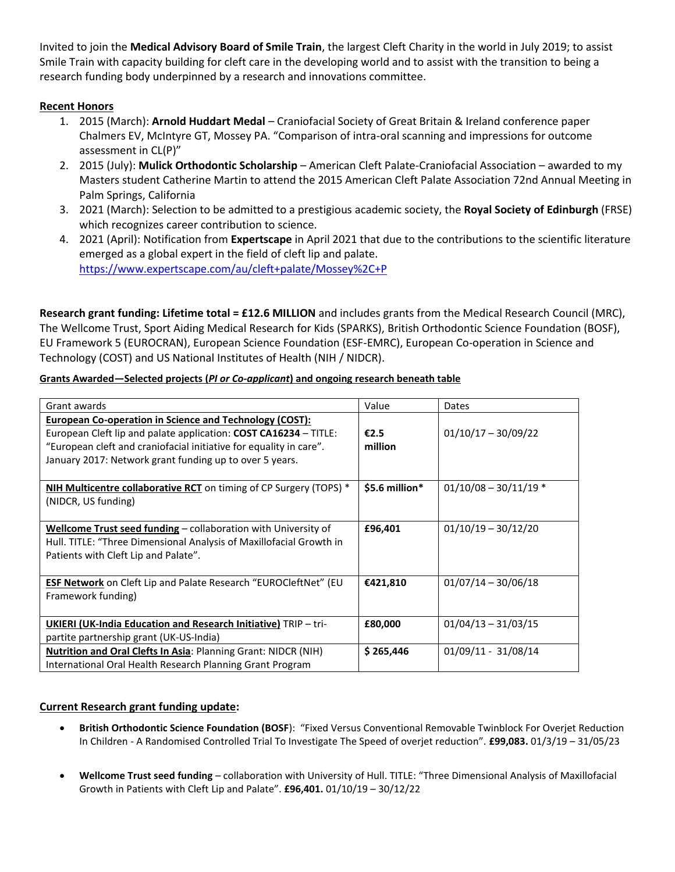Invited to join the **Medical Advisory Board of Smile Train**, the largest Cleft Charity in the world in July 2019; to assist Smile Train with capacity building for cleft care in the developing world and to assist with the transition to being a research funding body underpinned by a research and innovations committee.

# **Recent Honors**

- 1. 2015 (March): **Arnold Huddart Medal** Craniofacial Society of Great Britain & Ireland conference paper Chalmers EV, McIntyre GT, Mossey PA. "Comparison of intra-oral scanning and impressions for outcome assessment in CL(P)"
- 2. 2015 (July): **Mulick Orthodontic Scholarship** American Cleft Palate-Craniofacial Association awarded to my Masters student Catherine Martin to attend the 2015 American Cleft Palate Association 72nd Annual Meeting in Palm Springs, California
- 3. 2021 (March): Selection to be admitted to a prestigious academic society, the **Royal Society of Edinburgh** (FRSE) which recognizes career contribution to science.
- 4. 2021 (April): Notification from **Expertscape** in April 2021 that due to the contributions to the scientific literature emerged as a global expert in the field of cleft lip and palate. [https://www.expertscape.com/au/cleft+palate/Mossey%2C+P](https://eur01.safelinks.protection.outlook.com/?url=https%3A%2F%2Fwww.expertscape.com%2Fau%2Fcleft%2Bpalate%2FMossey%252C%2BP&data=04%7C01%7C%7C37bbbf204dc64ed3e8f008d96b98e7cd%7C569df091b01340e386eebd9cb9e25814%7C0%7C0%7C637659126745196612%7CUnknown%7CTWFpbGZsb3d8eyJWIjoiMC4wLjAwMDAiLCJQIjoiV2luMzIiLCJBTiI6Ik1haWwiLCJXVCI6Mn0%3D%7C1000&sdata=vj98o3CYu2M5QpKMKSWm90fWviJn5Kch7oE2jprk4vM%3D&reserved=0)

**Research grant funding: Lifetime total = £12.6 MILLION** and includes grants from the Medical Research Council (MRC), The Wellcome Trust, Sport Aiding Medical Research for Kids (SPARKS), British Orthodontic Science Foundation (BOSF), EU Framework 5 (EUROCRAN), European Science Foundation (ESF-EMRC), European Co-operation in Science and Technology (COST) and US National Institutes of Health (NIH / NIDCR).

| Grant awards                                                           | Value          | Dates                   |
|------------------------------------------------------------------------|----------------|-------------------------|
| <b>European Co-operation in Science and Technology (COST):</b>         |                |                         |
| European Cleft lip and palate application: COST CA16234 - TITLE:       | €2.5           | $01/10/17 - 30/09/22$   |
| "European cleft and craniofacial initiative for equality in care".     | million        |                         |
| January 2017: Network grant funding up to over 5 years.                |                |                         |
| NIH Multicentre collaborative RCT on timing of CP Surgery (TOPS) *     | \$5.6 million* | $01/10/08 - 30/11/19$ * |
| (NIDCR, US funding)                                                    |                |                         |
| Wellcome Trust seed funding - collaboration with University of         | £96,401        | $01/10/19 - 30/12/20$   |
| Hull. TITLE: "Three Dimensional Analysis of Maxillofacial Growth in    |                |                         |
| Patients with Cleft Lip and Palate".                                   |                |                         |
| <b>ESF Network</b> on Cleft Lip and Palate Research "EUROCleftNet" (EU | €421,810       | $01/07/14 - 30/06/18$   |
| Framework funding)                                                     |                |                         |
|                                                                        |                |                         |
| <b>UKIERI (UK-India Education and Research Initiative) TRIP - tri-</b> | £80,000        | $01/04/13 - 31/03/15$   |
| partite partnership grant (UK-US-India)                                |                |                         |
| <b>Nutrition and Oral Clefts In Asia: Planning Grant: NIDCR (NIH)</b>  | \$265,446      | 01/09/11 - 31/08/14     |
| International Oral Health Research Planning Grant Program              |                |                         |

## **Grants Awarded—Selected projects (***PI or Co-applicant***) and ongoing research beneath table**

## **Current Research grant funding update:**

- **British Orthodontic Science Foundation (BOSF**): "Fixed Versus Conventional Removable Twinblock For Overjet Reduction In Children - A Randomised Controlled Trial To Investigate The Speed of overjet reduction". **£99,083.** 01/3/19 – 31/05/23
- **Wellcome Trust seed funding** collaboration with University of Hull. TITLE: "Three Dimensional Analysis of Maxillofacial Growth in Patients with Cleft Lip and Palate". **£96,401.** 01/10/19 – 30/12/22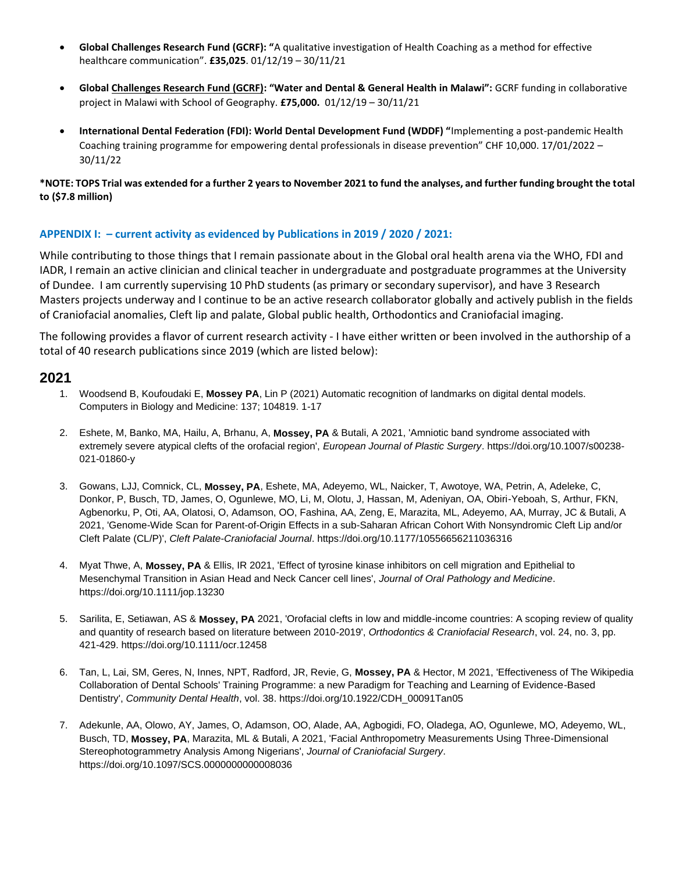- **Global Challenges Research Fund (GCRF): "**A qualitative investigation of Health Coaching as a method for effective healthcare communication". **£35,025**. 01/12/19 – 30/11/21
- **Global Challenges Research Fund (GCRF): "Water and Dental & General Health in Malawi":** GCRF funding in collaborative project in Malawi with School of Geography. **£75,000.** 01/12/19 – 30/11/21
- **International Dental Federation (FDI): World Dental Development Fund (WDDF) "**Implementing a post-pandemic Health Coaching training programme for empowering dental professionals in disease prevention" CHF 10,000. 17/01/2022 – 30/11/22

**\*NOTE: TOPS Trial was extended for a further 2 years to November 2021 to fund the analyses, and further funding brought the total to (\$7.8 million)**

#### **APPENDIX I: – current activity as evidenced by Publications in 2019 / 2020 / 2021:**

While contributing to those things that I remain passionate about in the Global oral health arena via the WHO, FDI and IADR, I remain an active clinician and clinical teacher in undergraduate and postgraduate programmes at the University of Dundee. I am currently supervising 10 PhD students (as primary or secondary supervisor), and have 3 Research Masters projects underway and I continue to be an active research collaborator globally and actively publish in the fields of Craniofacial anomalies, Cleft lip and palate, Global public health, Orthodontics and Craniofacial imaging.

The following provides a flavor of current research activity - I have either written or been involved in the authorship of a total of 40 research publications since 2019 (which are listed below):

## **2021**

- 1. Woodsend B, Koufoudaki E, **Mossey PA**, Lin P (2021) Automatic recognition of landmarks on digital dental models. Computers in Biology and Medicine: 137; 104819. 1-17
- 2. Eshete, M, Banko, MA, Hailu, A, Brhanu, A, **Mossey, PA** & Butali, A 2021, 'Amniotic band syndrome associated with extremely severe atypical clefts of the orofacial region', *European Journal of Plastic Surgery*. https://doi.org/10.1007/s00238- 021-01860-y
- 3. Gowans, LJJ, Comnick, CL, **Mossey, PA**, Eshete, MA, Adeyemo, WL, Naicker, T, Awotoye, WA, Petrin, A, Adeleke, C, Donkor, P, Busch, TD, James, O, Ogunlewe, MO, Li, M, Olotu, J, Hassan, M, Adeniyan, OA, Obiri-Yeboah, S, Arthur, FKN, Agbenorku, P, Oti, AA, Olatosi, O, Adamson, OO, Fashina, AA, Zeng, E, Marazita, ML, Adeyemo, AA, Murray, JC & Butali, A 2021, 'Genome-Wide Scan for Parent-of-Origin Effects in a sub-Saharan African Cohort With Nonsyndromic Cleft Lip and/or Cleft Palate (CL/P)', *Cleft Palate-Craniofacial Journal*. https://doi.org/10.1177/10556656211036316
- 4. Myat Thwe, A, **Mossey, PA** & Ellis, IR 2021, 'Effect of tyrosine kinase inhibitors on cell migration and Epithelial to Mesenchymal Transition in Asian Head and Neck Cancer cell lines', *Journal of Oral Pathology and Medicine*. https://doi.org/10.1111/jop.13230
- 5. Sarilita, E, Setiawan, AS & **Mossey, PA** 2021, 'Orofacial clefts in low and middle-income countries: A scoping review of quality and quantity of research based on literature between 2010-2019', *Orthodontics & Craniofacial Research*, vol. 24, no. 3, pp. 421-429. https://doi.org/10.1111/ocr.12458
- 6. Tan, L, Lai, SM, Geres, N, Innes, NPT, Radford, JR, Revie, G, **Mossey, PA** & Hector, M 2021, 'Effectiveness of The Wikipedia Collaboration of Dental Schools' Training Programme: a new Paradigm for Teaching and Learning of Evidence-Based Dentistry', *Community Dental Health*, vol. 38. https://doi.org/10.1922/CDH\_00091Tan05
- 7. Adekunle, AA, Olowo, AY, James, O, Adamson, OO, Alade, AA, Agbogidi, FO, Oladega, AO, Ogunlewe, MO, Adeyemo, WL, Busch, TD, **Mossey, PA**, Marazita, ML & Butali, A 2021, 'Facial Anthropometry Measurements Using Three-Dimensional Stereophotogrammetry Analysis Among Nigerians', *Journal of Craniofacial Surgery*. https://doi.org/10.1097/SCS.0000000000008036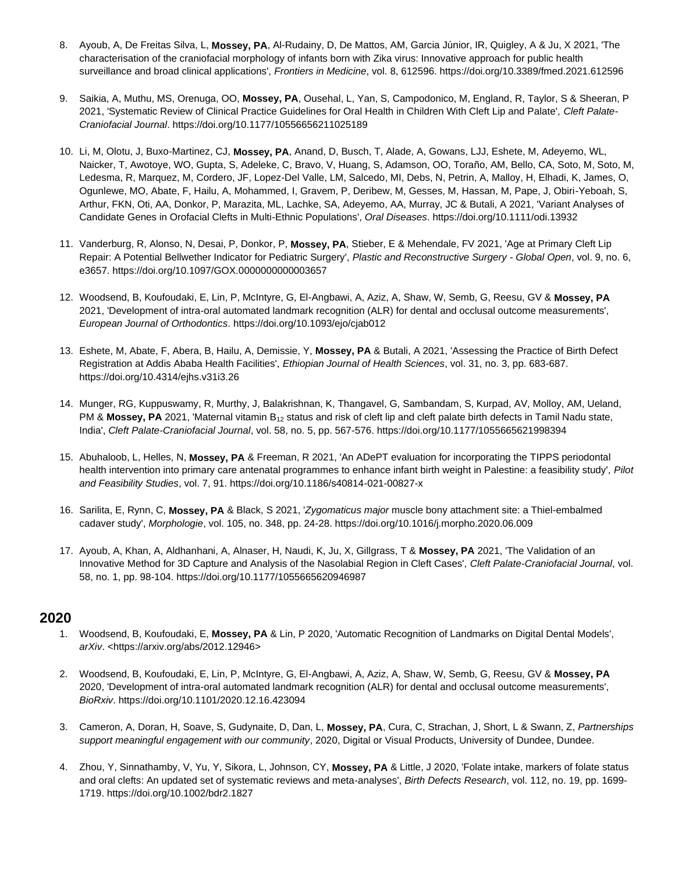- 8. Ayoub, A, De Freitas Silva, L, **Mossey, PA**, Al-Rudainy, D, De Mattos, AM, Garcia Júnior, IR, Quigley, A & Ju, X 2021, 'The characterisation of the craniofacial morphology of infants born with Zika virus: Innovative approach for public health surveillance and broad clinical applications', *Frontiers in Medicine*, vol. 8, 612596. https://doi.org/10.3389/fmed.2021.612596
- 9. Saikia, A, Muthu, MS, Orenuga, OO, **Mossey, PA**, Ousehal, L, Yan, S, Campodonico, M, England, R, Taylor, S & Sheeran, P 2021, 'Systematic Review of Clinical Practice Guidelines for Oral Health in Children With Cleft Lip and Palate', *Cleft Palate-Craniofacial Journal*. https://doi.org/10.1177/10556656211025189
- 10. Li, M, Olotu, J, Buxo-Martinez, CJ, **Mossey, PA**, Anand, D, Busch, T, Alade, A, Gowans, LJJ, Eshete, M, Adeyemo, WL, Naicker, T, Awotoye, WO, Gupta, S, Adeleke, C, Bravo, V, Huang, S, Adamson, OO, Toraño, AM, Bello, CA, Soto, M, Soto, M, Ledesma, R, Marquez, M, Cordero, JF, Lopez-Del Valle, LM, Salcedo, MI, Debs, N, Petrin, A, Malloy, H, Elhadi, K, James, O, Ogunlewe, MO, Abate, F, Hailu, A, Mohammed, I, Gravem, P, Deribew, M, Gesses, M, Hassan, M, Pape, J, Obiri-Yeboah, S, Arthur, FKN, Oti, AA, Donkor, P, Marazita, ML, Lachke, SA, Adeyemo, AA, Murray, JC & Butali, A 2021, 'Variant Analyses of Candidate Genes in Orofacial Clefts in Multi-Ethnic Populations', *Oral Diseases*. https://doi.org/10.1111/odi.13932
- 11. Vanderburg, R, Alonso, N, Desai, P, Donkor, P, **Mossey, PA**, Stieber, E & Mehendale, FV 2021, 'Age at Primary Cleft Lip Repair: A Potential Bellwether Indicator for Pediatric Surgery', *Plastic and Reconstructive Surgery - Global Open*, vol. 9, no. 6, e3657. https://doi.org/10.1097/GOX.0000000000003657
- 12. Woodsend, B, Koufoudaki, E, Lin, P, McIntyre, G, El-Angbawi, A, Aziz, A, Shaw, W, Semb, G, Reesu, GV & **Mossey, PA** 2021, 'Development of intra-oral automated landmark recognition (ALR) for dental and occlusal outcome measurements', *European Journal of Orthodontics*. https://doi.org/10.1093/ejo/cjab012
- 13. Eshete, M, Abate, F, Abera, B, Hailu, A, Demissie, Y, **Mossey, PA** & Butali, A 2021, 'Assessing the Practice of Birth Defect Registration at Addis Ababa Health Facilities', *Ethiopian Journal of Health Sciences*, vol. 31, no. 3, pp. 683-687. https://doi.org/10.4314/ejhs.v31i3.26
- 14. Munger, RG, Kuppuswamy, R, Murthy, J, Balakrishnan, K, Thangavel, G, Sambandam, S, Kurpad, AV, Molloy, AM, Ueland, PM & Mossey, PA 2021, 'Maternal vitamin B<sub>12</sub> status and risk of cleft lip and cleft palate birth defects in Tamil Nadu state, India', *Cleft Palate-Craniofacial Journal*, vol. 58, no. 5, pp. 567-576. https://doi.org/10.1177/1055665621998394
- 15. Abuhaloob, L, Helles, N, **Mossey, PA** & Freeman, R 2021, 'An ADePT evaluation for incorporating the TIPPS periodontal health intervention into primary care antenatal programmes to enhance infant birth weight in Palestine: a feasibility study', *Pilot and Feasibility Studies*, vol. 7, 91. https://doi.org/10.1186/s40814-021-00827-x
- 16. Sarilita, E, Rynn, C, **Mossey, PA** & Black, S 2021, '*Zygomaticus major* muscle bony attachment site: a Thiel-embalmed cadaver study', *Morphologie*, vol. 105, no. 348, pp. 24-28. https://doi.org/10.1016/j.morpho.2020.06.009
- 17. Ayoub, A, Khan, A, Aldhanhani, A, Alnaser, H, Naudi, K, Ju, X, Gillgrass, T & **Mossey, PA** 2021, 'The Validation of an Innovative Method for 3D Capture and Analysis of the Nasolabial Region in Cleft Cases', *Cleft Palate-Craniofacial Journal*, vol. 58, no. 1, pp. 98-104. https://doi.org/10.1177/1055665620946987

## **2020**

- 1. Woodsend, B, Koufoudaki, E, **Mossey, PA** & Lin, P 2020, 'Automatic Recognition of Landmarks on Digital Dental Models', *arXiv*. <https://arxiv.org/abs/2012.12946>
- 2. Woodsend, B, Koufoudaki, E, Lin, P, McIntyre, G, El-Angbawi, A, Aziz, A, Shaw, W, Semb, G, Reesu, GV & **Mossey, PA** 2020, 'Development of intra-oral automated landmark recognition (ALR) for dental and occlusal outcome measurements', *BioRxiv*. https://doi.org/10.1101/2020.12.16.423094
- 3. Cameron, A, Doran, H, Soave, S, Gudynaite, D, Dan, L, **Mossey, PA**, Cura, C, Strachan, J, Short, L & Swann, Z, *Partnerships support meaningful engagement with our community*, 2020, Digital or Visual Products, University of Dundee, Dundee.
- 4. Zhou, Y, Sinnathamby, V, Yu, Y, Sikora, L, Johnson, CY, **Mossey, PA** & Little, J 2020, 'Folate intake, markers of folate status and oral clefts: An updated set of systematic reviews and meta-analyses', *Birth Defects Research*, vol. 112, no. 19, pp. 1699- 1719. https://doi.org/10.1002/bdr2.1827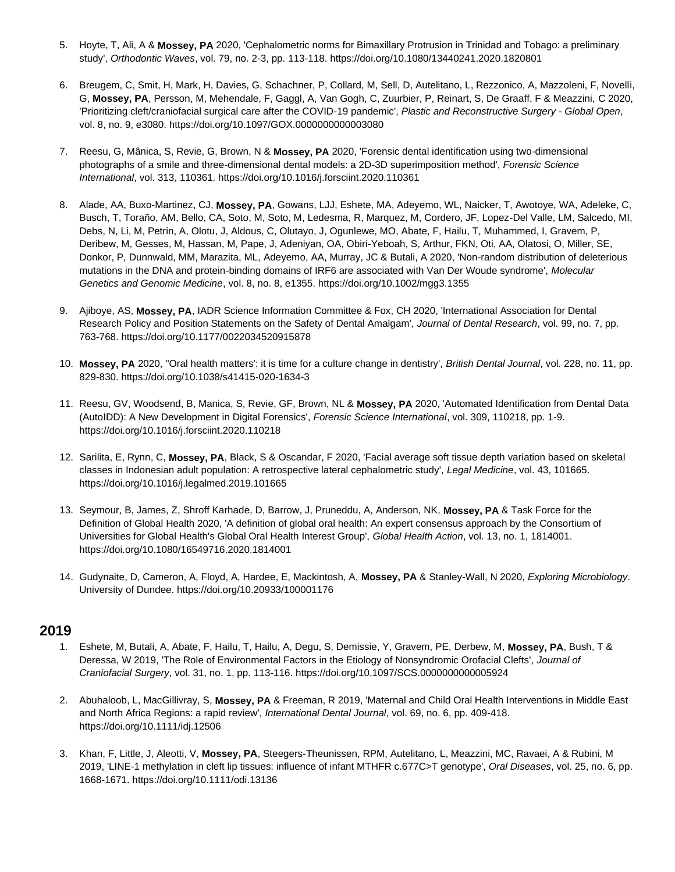- 5. Hoyte, T, Ali, A & **Mossey, PA** 2020, 'Cephalometric norms for Bimaxillary Protrusion in Trinidad and Tobago: a preliminary study', *Orthodontic Waves*, vol. 79, no. 2-3, pp. 113-118. https://doi.org/10.1080/13440241.2020.1820801
- 6. Breugem, C, Smit, H, Mark, H, Davies, G, Schachner, P, Collard, M, Sell, D, Autelitano, L, Rezzonico, A, Mazzoleni, F, Novelli, G, **Mossey, PA**, Persson, M, Mehendale, F, Gaggl, A, Van Gogh, C, Zuurbier, P, Reinart, S, De Graaff, F & Meazzini, C 2020, 'Prioritizing cleft/craniofacial surgical care after the COVID-19 pandemic', *Plastic and Reconstructive Surgery - Global Open*, vol. 8, no. 9, e3080. https://doi.org/10.1097/GOX.0000000000003080
- 7. Reesu, G, Mânica, S, Revie, G, Brown, N & **Mossey, PA** 2020, 'Forensic dental identification using two-dimensional photographs of a smile and three-dimensional dental models: a 2D-3D superimposition method', *Forensic Science International*, vol. 313, 110361. https://doi.org/10.1016/j.forsciint.2020.110361
- 8. Alade, AA, Buxo-Martinez, CJ, **Mossey, PA**, Gowans, LJJ, Eshete, MA, Adeyemo, WL, Naicker, T, Awotoye, WA, Adeleke, C, Busch, T, Toraño, AM, Bello, CA, Soto, M, Soto, M, Ledesma, R, Marquez, M, Cordero, JF, Lopez-Del Valle, LM, Salcedo, MI, Debs, N, Li, M, Petrin, A, Olotu, J, Aldous, C, Olutayo, J, Ogunlewe, MO, Abate, F, Hailu, T, Muhammed, I, Gravem, P, Deribew, M, Gesses, M, Hassan, M, Pape, J, Adeniyan, OA, Obiri-Yeboah, S, Arthur, FKN, Oti, AA, Olatosi, O, Miller, SE, Donkor, P, Dunnwald, MM, Marazita, ML, Adeyemo, AA, Murray, JC & Butali, A 2020, 'Non-random distribution of deleterious mutations in the DNA and protein-binding domains of IRF6 are associated with Van Der Woude syndrome', *Molecular Genetics and Genomic Medicine*, vol. 8, no. 8, e1355. https://doi.org/10.1002/mgg3.1355
- 9. Ajiboye, AS, **Mossey, PA**, IADR Science Information Committee & Fox, CH 2020, 'International Association for Dental Research Policy and Position Statements on the Safety of Dental Amalgam', *Journal of Dental Research*, vol. 99, no. 7, pp. 763-768. https://doi.org/10.1177/0022034520915878
- 10. **Mossey, PA** 2020, ''Oral health matters': it is time for a culture change in dentistry', *British Dental Journal*, vol. 228, no. 11, pp. 829-830. https://doi.org/10.1038/s41415-020-1634-3
- 11. Reesu, GV, Woodsend, B, Manica, S, Revie, GF, Brown, NL & **Mossey, PA** 2020, 'Automated Identification from Dental Data (AutoIDD): A New Development in Digital Forensics', *Forensic Science International*, vol. 309, 110218, pp. 1-9. https://doi.org/10.1016/j.forsciint.2020.110218
- 12. Sarilita, E, Rynn, C, **Mossey, PA**, Black, S & Oscandar, F 2020, 'Facial average soft tissue depth variation based on skeletal classes in Indonesian adult population: A retrospective lateral cephalometric study', *Legal Medicine*, vol. 43, 101665. https://doi.org/10.1016/j.legalmed.2019.101665
- 13. Seymour, B, James, Z, Shroff Karhade, D, Barrow, J, Pruneddu, A, Anderson, NK, **Mossey, PA** & Task Force for the Definition of Global Health 2020, 'A definition of global oral health: An expert consensus approach by the Consortium of Universities for Global Health's Global Oral Health Interest Group', *Global Health Action*, vol. 13, no. 1, 1814001. https://doi.org/10.1080/16549716.2020.1814001
- 14. Gudynaite, D, Cameron, A, Floyd, A, Hardee, E, Mackintosh, A, **Mossey, PA** & Stanley-Wall, N 2020, *Exploring Microbiology*. University of Dundee. https://doi.org/10.20933/100001176

# **2019**

- 1. Eshete, M, Butali, A, Abate, F, Hailu, T, Hailu, A, Degu, S, Demissie, Y, Gravem, PE, Derbew, M, **Mossey, PA**, Bush, T & Deressa, W 2019, 'The Role of Environmental Factors in the Etiology of Nonsyndromic Orofacial Clefts', *Journal of Craniofacial Surgery*, vol. 31, no. 1, pp. 113-116. https://doi.org/10.1097/SCS.0000000000005924
- 2. Abuhaloob, L, MacGillivray, S, **Mossey, PA** & Freeman, R 2019, 'Maternal and Child Oral Health Interventions in Middle East and North Africa Regions: a rapid review', *International Dental Journal*, vol. 69, no. 6, pp. 409-418. https://doi.org/10.1111/idj.12506
- 3. Khan, F, Little, J, Aleotti, V, **Mossey, PA**, Steegers-Theunissen, RPM, Autelitano, L, Meazzini, MC, Ravaei, A & Rubini, M 2019, 'LINE-1 methylation in cleft lip tissues: influence of infant MTHFR c.677C>T genotype', *Oral Diseases*, vol. 25, no. 6, pp. 1668-1671. https://doi.org/10.1111/odi.13136